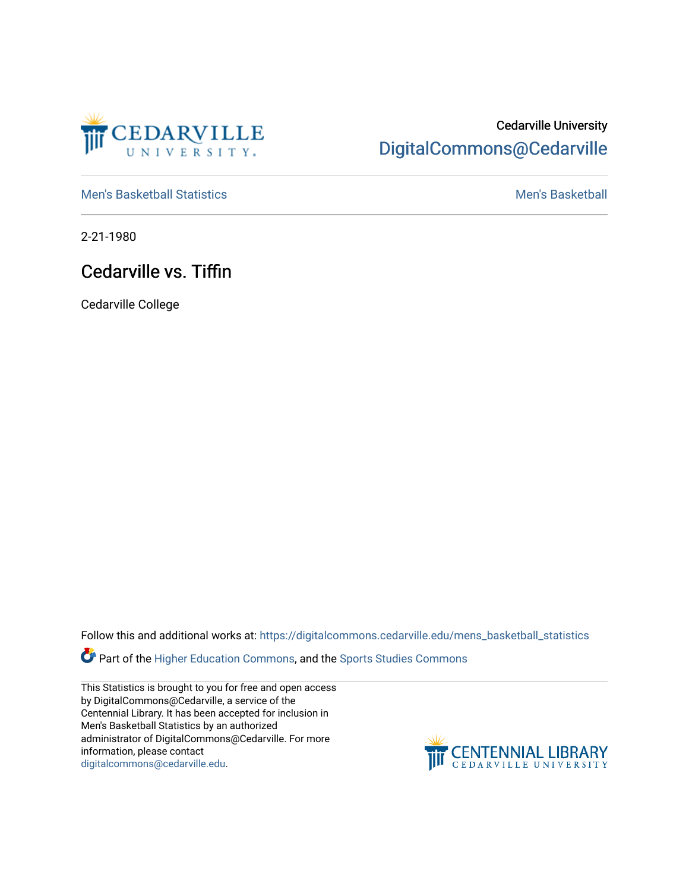

## Cedarville University [DigitalCommons@Cedarville](https://digitalcommons.cedarville.edu/)

[Men's Basketball Statistics](https://digitalcommons.cedarville.edu/mens_basketball_statistics) [Men's Basketball](https://digitalcommons.cedarville.edu/mens_basketball) 

2-21-1980

## Cedarville vs. Tiffin

Cedarville College

Follow this and additional works at: [https://digitalcommons.cedarville.edu/mens\\_basketball\\_statistics](https://digitalcommons.cedarville.edu/mens_basketball_statistics?utm_source=digitalcommons.cedarville.edu%2Fmens_basketball_statistics%2F339&utm_medium=PDF&utm_campaign=PDFCoverPages) 

**Part of the [Higher Education Commons,](http://network.bepress.com/hgg/discipline/1245?utm_source=digitalcommons.cedarville.edu%2Fmens_basketball_statistics%2F339&utm_medium=PDF&utm_campaign=PDFCoverPages) and the Sports Studies Commons** 

This Statistics is brought to you for free and open access by DigitalCommons@Cedarville, a service of the Centennial Library. It has been accepted for inclusion in Men's Basketball Statistics by an authorized administrator of DigitalCommons@Cedarville. For more information, please contact [digitalcommons@cedarville.edu](mailto:digitalcommons@cedarville.edu).